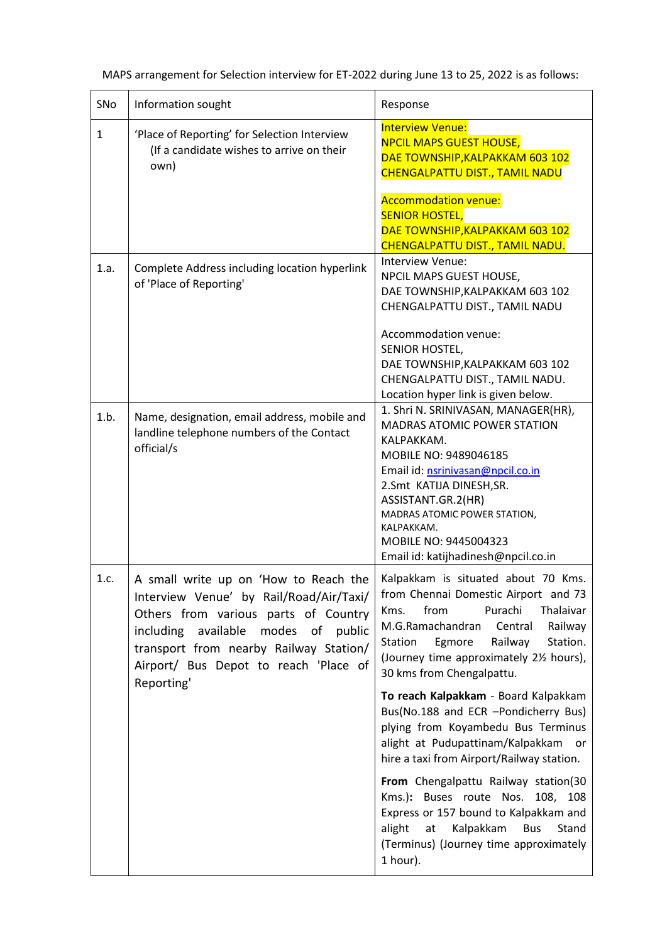| SNo          | Information sought                                                                                                                                                                                                                                                  | Response                                                                                                                                                                                                                                                                                                                                                         |  |
|--------------|---------------------------------------------------------------------------------------------------------------------------------------------------------------------------------------------------------------------------------------------------------------------|------------------------------------------------------------------------------------------------------------------------------------------------------------------------------------------------------------------------------------------------------------------------------------------------------------------------------------------------------------------|--|
| $\mathbf{1}$ | 'Place of Reporting' for Selection Interview<br>(If a candidate wishes to arrive on their<br>own)                                                                                                                                                                   | <b>Interview Venue:</b><br><b>NPCIL MAPS GUEST HOUSE,</b><br>DAE TOWNSHIP, KALPAKKAM 603 102<br>CHENGALPATTU DIST., TAMIL NADU<br><b>Accommodation venue:</b><br><b>SENIOR HOSTEL,</b><br>DAE TOWNSHIP, KALPAKKAM 603 102<br>CHENGALPATTU DIST., TAMIL NADU.                                                                                                     |  |
| 1.a.         | Complete Address including location hyperlink<br>of 'Place of Reporting'                                                                                                                                                                                            | Interview Venue:<br>NPCIL MAPS GUEST HOUSE,<br>DAE TOWNSHIP, KALPAKKAM 603 102<br>CHENGALPATTU DIST., TAMIL NADU<br>Accommodation venue:<br>SENIOR HOSTEL,<br>DAE TOWNSHIP, KALPAKKAM 603 102<br>CHENGALPATTU DIST., TAMIL NADU.<br>Location hyper link is given below.                                                                                          |  |
| 1.b.         | Name, designation, email address, mobile and<br>landline telephone numbers of the Contact<br>official/s                                                                                                                                                             | 1. Shri N. SRINIVASAN, MANAGER(HR),<br><b>MADRAS ATOMIC POWER STATION</b><br>KALPAKKAM.<br>MOBILE NO: 9489046185<br>Email id: nsrinivasan@npcil.co.in<br>2.Smt KATIJA DINESH, SR.<br>ASSISTANT.GR.2(HR)<br>MADRAS ATOMIC POWER STATION,<br>KALPAKKAM.<br>MOBILE NO: 9445004323<br>Email id: katijhadinesh@npcil.co.in                                            |  |
| 1.c.         | A small write up on 'How to Reach the<br>Interview Venue' by Rail/Road/Air/Taxi/<br>Others from various parts of Country<br>including available<br>modes of public<br>transport from nearby Railway Station/<br>Airport/ Bus Depot to reach 'Place of<br>Reporting' | Kalpakkam is situated about 70 Kms.<br>from Chennai Domestic Airport and 73<br>from<br>Purachi<br>Thalaivar<br>Kms.<br>M.G.Ramachandran<br>Central<br>Railway<br>Railway<br>Station.<br>Station<br>Egmore<br>(Journey time approximately 2% hours),<br>30 kms from Chengalpattu.<br>To reach Kalpakkam - Board Kalpakkam<br>Bus(No.188 and ECR -Pondicherry Bus) |  |
|              |                                                                                                                                                                                                                                                                     | plying from Koyambedu Bus Terminus<br>alight at Pudupattinam/Kalpakkam<br>or<br>hire a taxi from Airport/Railway station.<br>From Chengalpattu Railway station(30<br>Kms.): Buses route Nos. 108, 108<br>Express or 157 bound to Kalpakkam and<br>alight<br>Kalpakkam<br>Bus<br>Stand<br>at<br>(Terminus) (Journey time approximately<br>1 hour).                |  |

| MAPS arrangement for Selection interview for ET-2022 during June 13 to 25, 2022 is as follows: |  |  |
|------------------------------------------------------------------------------------------------|--|--|
|                                                                                                |  |  |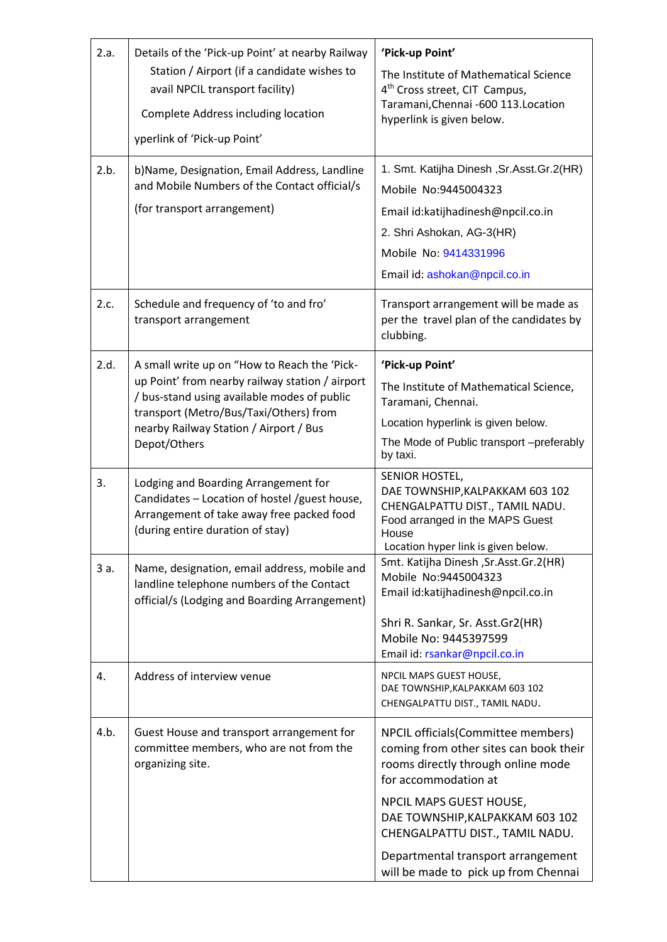| 2.a.<br>2.b. | Details of the 'Pick-up Point' at nearby Railway<br>Station / Airport (if a candidate wishes to<br>avail NPCIL transport facility)<br>Complete Address including location<br>yperlink of 'Pick-up Point'                                           | 'Pick-up Point'<br>The Institute of Mathematical Science<br>4 <sup>th</sup> Cross street, CIT Campus,<br>Taramani, Chennai - 600 113. Location<br>hyperlink is given below.<br>1. Smt. Katijha Dinesh, Sr. Asst. Gr. 2(HR)                                                                                                 |
|--------------|----------------------------------------------------------------------------------------------------------------------------------------------------------------------------------------------------------------------------------------------------|----------------------------------------------------------------------------------------------------------------------------------------------------------------------------------------------------------------------------------------------------------------------------------------------------------------------------|
|              | b)Name, Designation, Email Address, Landline<br>and Mobile Numbers of the Contact official/s<br>(for transport arrangement)                                                                                                                        | Mobile No:9445004323<br>Email id:katijhadinesh@npcil.co.in<br>2. Shri Ashokan, AG-3(HR)<br>Mobile No: 9414331996<br>Email id: ashokan@npcil.co.in                                                                                                                                                                          |
| 2.c.         | Schedule and frequency of 'to and fro'<br>transport arrangement                                                                                                                                                                                    | Transport arrangement will be made as<br>per the travel plan of the candidates by<br>clubbing.                                                                                                                                                                                                                             |
| 2.d.         | A small write up on "How to Reach the 'Pick-<br>up Point' from nearby railway station / airport<br>/ bus-stand using available modes of public<br>transport (Metro/Bus/Taxi/Others) from<br>nearby Railway Station / Airport / Bus<br>Depot/Others | 'Pick-up Point'<br>The Institute of Mathematical Science,<br>Taramani, Chennai.<br>Location hyperlink is given below.<br>The Mode of Public transport -preferably<br>by taxi.                                                                                                                                              |
| 3.           | Lodging and Boarding Arrangement for<br>Candidates - Location of hostel /guest house,<br>Arrangement of take away free packed food<br>(during entire duration of stay)                                                                             | SENIOR HOSTEL,<br>DAE TOWNSHIP, KALPAKKAM 603 102<br>CHENGALPATTU DIST., TAMIL NADU.<br>Food arranged in the MAPS Guest<br>House<br>Location hyper link is given below.                                                                                                                                                    |
| 3 a.         | Name, designation, email address, mobile and<br>landline telephone numbers of the Contact<br>official/s (Lodging and Boarding Arrangement)                                                                                                         | Smt. Katijha Dinesh , Sr. Asst. Gr. 2(HR)<br>Mobile No:9445004323<br>Email id:katijhadinesh@npcil.co.in<br>Shri R. Sankar, Sr. Asst.Gr2(HR)<br>Mobile No: 9445397599<br>Email id: rsankar@npcil.co.in                                                                                                                      |
| 4.           | Address of interview venue                                                                                                                                                                                                                         | NPCIL MAPS GUEST HOUSE,<br>DAE TOWNSHIP, KALPAKKAM 603 102<br>CHENGALPATTU DIST., TAMIL NADU.                                                                                                                                                                                                                              |
| 4.b.         | Guest House and transport arrangement for<br>committee members, who are not from the<br>organizing site.                                                                                                                                           | NPCIL officials (Committee members)<br>coming from other sites can book their<br>rooms directly through online mode<br>for accommodation at<br>NPCIL MAPS GUEST HOUSE,<br>DAE TOWNSHIP, KALPAKKAM 603 102<br>CHENGALPATTU DIST., TAMIL NADU.<br>Departmental transport arrangement<br>will be made to pick up from Chennai |